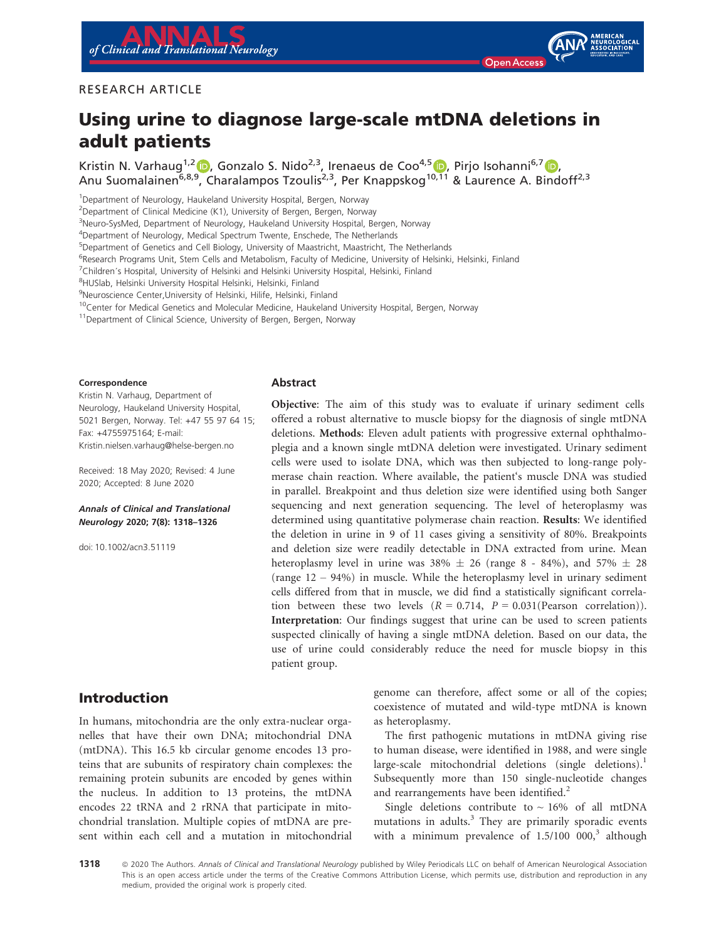

### RESEARCH ARTICLE

# Using urine to diagnose large-scale mtDNA deletions in adult patients

Kristin N. Varhaug<sup>1,2</sup> D, Gonzalo S. Nido<sup>2,3</sup>, Irenaeus de Coo<sup>4,[5](https://orcid.org/0000-0003-0533-7422)</sup> D. Pirio Isohanni<sup>6,[7](https://orcid.org/0000-0002-0156-1614)</sup> D. Anu Suomalainen<sup>6,8,[9](https://orcid.org/0000-0003-4910-0953)</sup>, Charalampos Tzoulis<sup>2,3</sup>, Per Knappskog<sup>1[0,11](https://orcid.org/0000-0003-0533-7422)</sup> & Laurence A. Bindoff<sup>2,3</sup>

<sup>1</sup>Department of Neurology, Haukeland University Hospital, Bergen, Norway <sup>2</sup>Department of Clinical Medicine (K1), University of Bergen, Bergen, Norway <sup>3</sup>Neuro-SysMed, Department of Neurology, Haukeland University Hospital, Bergen, Norway 4 Department of Neurology, Medical Spectrum Twente, Enschede, The Netherlands 5 Department of Genetics and Cell Biology, University of Maastricht, Maastricht, The Netherlands <sup>6</sup>Research Programs Unit, Stem Cells and Metabolism, Faculty of Medicine, University of Helsinki, Helsinki, Finland <sup>7</sup>Children's Hospital, University of Helsinki and Helsinki University Hospital, Helsinki, Finland 8 HUSlab, Helsinki University Hospital Helsinki, Helsinki, Finland 9 Neuroscience Center,University of Helsinki, Hilife, Helsinki, Finland <sup>10</sup>Center for Medical Genetics and Molecular Medicine, Haukeland University Hospital, Bergen, Norway <sup>11</sup>Department of Clinical Science, University of Bergen, Bergen, Norway

#### Correspondence

Kristin N. Varhaug, Department of Neurology, Haukeland University Hospital, 5021 Bergen, Norway. Tel: +47 55 97 64 15; Fax: +4755975164; E-mail: [Kristin.nielsen.varhaug@helse-bergen.no](mailto:)

Received: 18 May 2020; Revised: 4 June 2020; Accepted: 8 June 2020

#### Annals of Clinical and Translational Neurology 2020; 7(8): 1318–1326

doi: 10.1002/acn3.51119

#### Abstract

Objective: The aim of this study was to evaluate if urinary sediment cells offered a robust alternative to muscle biopsy for the diagnosis of single mtDNA deletions. Methods: Eleven adult patients with progressive external ophthalmoplegia and a known single mtDNA deletion were investigated. Urinary sediment cells were used to isolate DNA, which was then subjected to long-range polymerase chain reaction. Where available, the patient's muscle DNA was studied in parallel. Breakpoint and thus deletion size were identified using both Sanger sequencing and next generation sequencing. The level of heteroplasmy was determined using quantitative polymerase chain reaction. Results: We identified the deletion in urine in 9 of 11 cases giving a sensitivity of 80%. Breakpoints and deletion size were readily detectable in DNA extracted from urine. Mean heteroplasmy level in urine was  $38\% \pm 26$  (range 8 - 84%), and  $57\% \pm 28$ (range 12 – 94%) in muscle. While the heteroplasmy level in urinary sediment cells differed from that in muscle, we did find a statistically significant correlation between these two levels  $(R = 0.714, P = 0.031(Pearson correlation)).$ Interpretation: Our findings suggest that urine can be used to screen patients suspected clinically of having a single mtDNA deletion. Based on our data, the use of urine could considerably reduce the need for muscle biopsy in this patient group.

## Introduction

In humans, mitochondria are the only extra-nuclear organelles that have their own DNA; mitochondrial DNA (mtDNA). This 16.5 kb circular genome encodes 13 proteins that are subunits of respiratory chain complexes: the remaining protein subunits are encoded by genes within the nucleus. In addition to 13 proteins, the mtDNA encodes 22 tRNA and 2 rRNA that participate in mitochondrial translation. Multiple copies of mtDNA are present within each cell and a mutation in mitochondrial genome can therefore, affect some or all of the copies; coexistence of mutated and wild-type mtDNA is known as heteroplasmy.

The first pathogenic mutations in mtDNA giving rise to human disease, were identified in 1988, and were single large-scale mitochondrial deletions (single deletions).<sup>1</sup> Subsequently more than 150 single-nucleotide changes and rearrangements have been identified.<sup>2</sup>

Single deletions contribute to  $\sim 16\%$  of all mtDNA mutations in adults.<sup>3</sup> They are primarily sporadic events with a minimum prevalence of  $1.5/100 000$ ,<sup>3</sup> although

1318 <sup>©</sup> 2020 The Authors. Annals of Clinical and Translational Neurology published by Wiley Periodicals LLC on behalf of American Neurological Association This is an open access article under the terms of the [Creative Commons Attribution](http://creativecommons.org/licenses/by/4.0/) License, which permits use, distribution and reproduction in any medium, provided the original work is properly cited.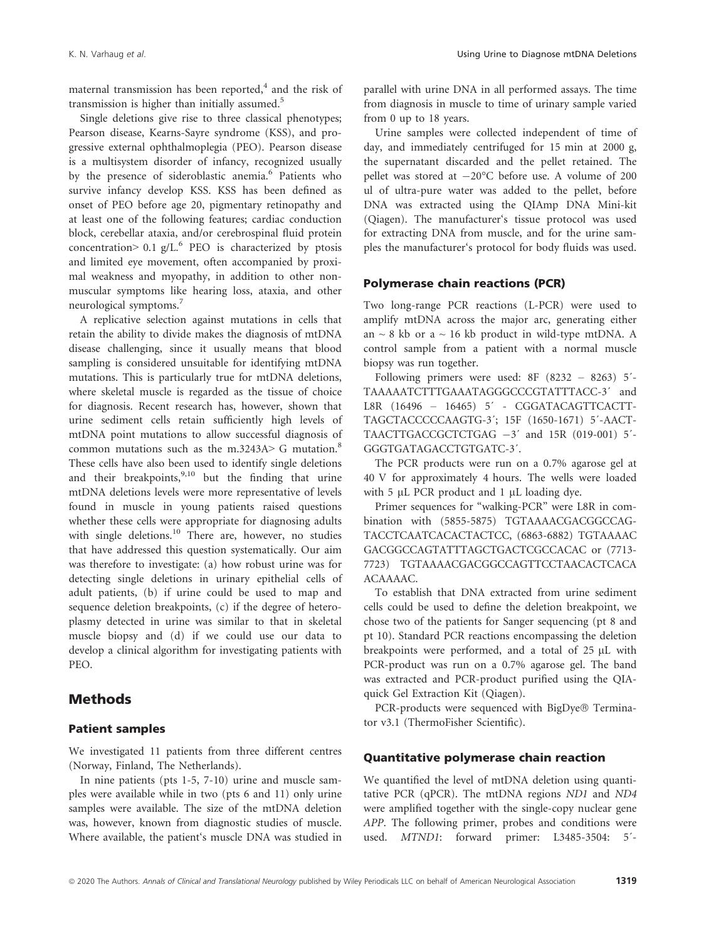maternal transmission has been reported, $4$  and the risk of transmission is higher than initially assumed. $5$ 

Single deletions give rise to three classical phenotypes; Pearson disease, Kearns-Sayre syndrome (KSS), and progressive external ophthalmoplegia (PEO). Pearson disease is a multisystem disorder of infancy, recognized usually by the presence of sideroblastic anemia.<sup>6</sup> Patients who survive infancy develop KSS. KSS has been defined as onset of PEO before age 20, pigmentary retinopathy and at least one of the following features; cardiac conduction block, cerebellar ataxia, and/or cerebrospinal fluid protein concentration>  $0.1$  g/L.<sup>6</sup> PEO is characterized by ptosis and limited eye movement, often accompanied by proximal weakness and myopathy, in addition to other nonmuscular symptoms like hearing loss, ataxia, and other neurological symptoms.<sup>7</sup>

A replicative selection against mutations in cells that retain the ability to divide makes the diagnosis of mtDNA disease challenging, since it usually means that blood sampling is considered unsuitable for identifying mtDNA mutations. This is particularly true for mtDNA deletions, where skeletal muscle is regarded as the tissue of choice for diagnosis. Recent research has, however, shown that urine sediment cells retain sufficiently high levels of mtDNA point mutations to allow successful diagnosis of common mutations such as the m.3243A $>$  G mutation.<sup>8</sup> These cells have also been used to identify single deletions and their breakpoints, $9,10$  but the finding that urine mtDNA deletions levels were more representative of levels found in muscle in young patients raised questions whether these cells were appropriate for diagnosing adults with single deletions.<sup>10</sup> There are, however, no studies that have addressed this question systematically. Our aim was therefore to investigate: (a) how robust urine was for detecting single deletions in urinary epithelial cells of adult patients, (b) if urine could be used to map and sequence deletion breakpoints, (c) if the degree of heteroplasmy detected in urine was similar to that in skeletal muscle biopsy and (d) if we could use our data to develop a clinical algorithm for investigating patients with PEO.

## Methods

#### Patient samples

We investigated 11 patients from three different centres (Norway, Finland, The Netherlands).

In nine patients (pts 1-5, 7-10) urine and muscle samples were available while in two (pts 6 and 11) only urine samples were available. The size of the mtDNA deletion was, however, known from diagnostic studies of muscle. Where available, the patient's muscle DNA was studied in parallel with urine DNA in all performed assays. The time from diagnosis in muscle to time of urinary sample varied from 0 up to 18 years.

Urine samples were collected independent of time of day, and immediately centrifuged for 15 min at 2000 g, the supernatant discarded and the pellet retained. The pellet was stored at  $-20^{\circ}$ C before use. A volume of 200 ul of ultra-pure water was added to the pellet, before DNA was extracted using the QIAmp DNA Mini-kit (Qiagen). The manufacturer's tissue protocol was used for extracting DNA from muscle, and for the urine samples the manufacturer's protocol for body fluids was used.

#### Polymerase chain reactions (PCR)

Two long-range PCR reactions (L-PCR) were used to amplify mtDNA across the major arc, generating either an  $\sim$  8 kb or a  $\sim$  16 kb product in wild-type mtDNA. A control sample from a patient with a normal muscle biopsy was run together.

Following primers were used: 8F (8232 – 8263) 5´- TAAAAATCTTTGAAATAGGGCCCGTATTTACC-3´ and L8R (16496 – 16465) 5´ - CGGATACAGTTCACTT-TAGCTACCCCCAAGTG-3´; 15F (1650-1671) 5´-AACT-TAACTTGACCGCTCTGAG  $-3'$  and 15R (019-001) 5<sup>'</sup>-GGGTGATAGACCTGTGATC-3´.

The PCR products were run on a 0.7% agarose gel at 40 V for approximately 4 hours. The wells were loaded with  $5 \mu L$  PCR product and 1  $\mu L$  loading dye.

Primer sequences for "walking-PCR" were L8R in combination with (5855-5875) TGTAAAACGACGGCCAG-TACCTCAATCACACTACTCC, (6863-6882) TGTAAAAC GACGGCCAGTATTTAGCTGACTCGCCACAC or (7713- 7723) TGTAAAACGACGGCCAGTTCCTAACACTCACA ACAAAAC.

To establish that DNA extracted from urine sediment cells could be used to define the deletion breakpoint, we chose two of the patients for Sanger sequencing (pt 8 and pt 10). Standard PCR reactions encompassing the deletion breakpoints were performed, and a total of  $25 \mu L$  with PCR-product was run on a 0.7% agarose gel. The band was extracted and PCR-product purified using the QIAquick Gel Extraction Kit (Qiagen).

PCR-products were sequenced with BigDye® Terminator v3.1 (ThermoFisher Scientific).

#### Quantitative polymerase chain reaction

We quantified the level of mtDNA deletion using quantitative PCR (qPCR). The mtDNA regions ND1 and ND4 were amplified together with the single-copy nuclear gene APP. The following primer, probes and conditions were used. MTND1: forward primer: L3485-3504: 5´-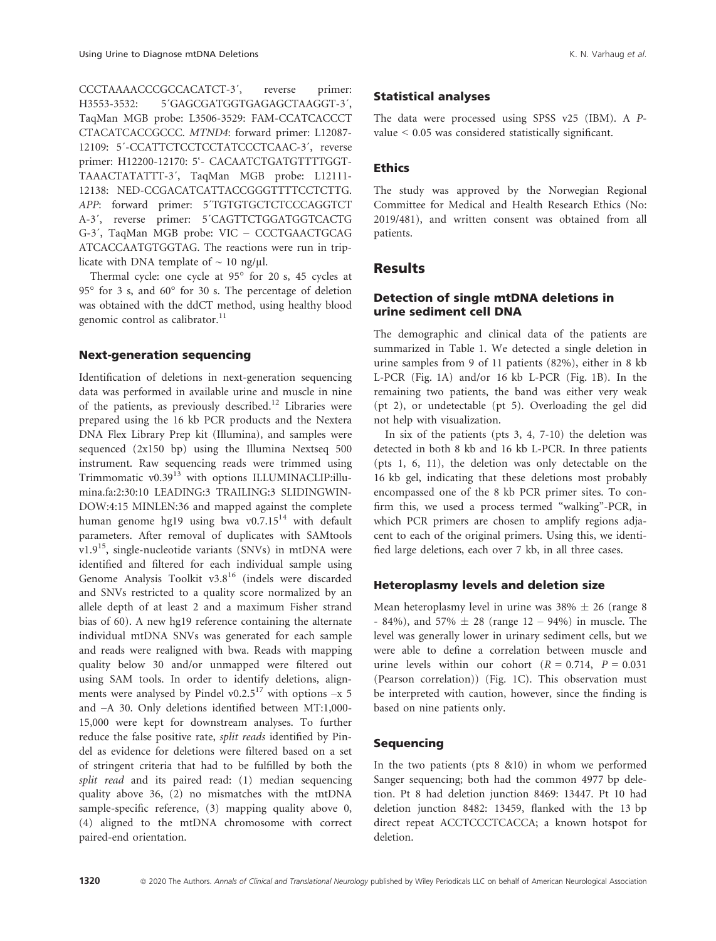CCCTAAAACCCGCCACATCT-3´, reverse primer: H3553-3532: 5´GAGCGATGGTGAGAGCTAAGGT-3´, TaqMan MGB probe: L3506-3529: FAM-CCATCACCCT CTACATCACCGCCC. MTND4: forward primer: L12087- 12109: 5´-CCATTCTCCTCCTATCCCTCAAC-3´, reverse primer: H12200-12170: 5'- CACAATCTGATGTTTTGGT-TAAACTATATTT-3´, TaqMan MGB probe: L12111- 12138: NED-CCGACATCATTACCGGGTTTTCCTCTTG. APP: forward primer: 5´TGTGTGCTCTCCCAGGTCT A-3´, reverse primer: 5´CAGTTCTGGATGGTCACTG G-3´, TaqMan MGB probe: VIC – CCCTGAACTGCAG ATCACCAATGTGGTAG. The reactions were run in triplicate with DNA template of  $\sim 10$  ng/ $\mu$ l.

Thermal cycle: one cycle at  $95^\circ$  for 20 s, 45 cycles at 95 $^{\circ}$  for 3 s, and 60 $^{\circ}$  for 30 s. The percentage of deletion was obtained with the ddCT method, using healthy blood genomic control as calibrator.<sup>11</sup>

### Next-generation sequencing

Identification of deletions in next-generation sequencing data was performed in available urine and muscle in nine of the patients, as previously described.<sup>12</sup> Libraries were prepared using the 16 kb PCR products and the Nextera DNA Flex Library Prep kit (Illumina), and samples were sequenced (2x150 bp) using the Illumina Nextseq 500 instrument. Raw sequencing reads were trimmed using Trimmomatic v0.39<sup>13</sup> with options ILLUMINACLIP:illumina.fa:2:30:10 LEADING:3 TRAILING:3 SLIDINGWIN-DOW:4:15 MINLEN:36 and mapped against the complete human genome hg19 using bwa v0.7.15<sup>14</sup> with default parameters. After removal of duplicates with SAMtools  $v1.9<sup>15</sup>$ , single-nucleotide variants (SNVs) in mtDNA were identified and filtered for each individual sample using Genome Analysis Toolkit v3.8<sup>16</sup> (indels were discarded and SNVs restricted to a quality score normalized by an allele depth of at least 2 and a maximum Fisher strand bias of 60). A new hg19 reference containing the alternate individual mtDNA SNVs was generated for each sample and reads were realigned with bwa. Reads with mapping quality below 30 and/or unmapped were filtered out using SAM tools. In order to identify deletions, alignments were analysed by Pindel v0.2.5<sup>17</sup> with options  $-x$  5 and –A 30. Only deletions identified between MT:1,000- 15,000 were kept for downstream analyses. To further reduce the false positive rate, split reads identified by Pindel as evidence for deletions were filtered based on a set of stringent criteria that had to be fulfilled by both the split read and its paired read: (1) median sequencing quality above 36, (2) no mismatches with the mtDNA sample-specific reference, (3) mapping quality above 0, (4) aligned to the mtDNA chromosome with correct paired-end orientation.

#### Statistical analyses

The data were processed using SPSS v25 (IBM). A Pvalue < 0.05 was considered statistically significant.

### **Ethics**

The study was approved by the Norwegian Regional Committee for Medical and Health Research Ethics (No: 2019/481), and written consent was obtained from all patients.

### **Results**

#### Detection of single mtDNA deletions in urine sediment cell DNA

The demographic and clinical data of the patients are summarized in Table 1. We detected a single deletion in urine samples from 9 of 11 patients (82%), either in 8 kb L-PCR (Fig. 1A) and/or 16 kb L-PCR (Fig. 1B). In the remaining two patients, the band was either very weak (pt 2), or undetectable (pt 5). Overloading the gel did not help with visualization.

In six of the patients (pts  $3, 4, 7-10$ ) the deletion was detected in both 8 kb and 16 kb L-PCR. In three patients (pts 1, 6, 11), the deletion was only detectable on the 16 kb gel, indicating that these deletions most probably encompassed one of the 8 kb PCR primer sites. To confirm this, we used a process termed "walking"-PCR, in which PCR primers are chosen to amplify regions adjacent to each of the original primers. Using this, we identified large deletions, each over 7 kb, in all three cases.

#### Heteroplasmy levels and deletion size

Mean heteroplasmy level in urine was  $38\% \pm 26$  (range 8 - 84%), and 57%  $\pm$  28 (range 12 – 94%) in muscle. The level was generally lower in urinary sediment cells, but we were able to define a correlation between muscle and urine levels within our cohort  $(R = 0.714, P = 0.031)$ (Pearson correlation)) (Fig. 1C). This observation must be interpreted with caution, however, since the finding is based on nine patients only.

#### Sequencing

In the two patients (pts 8 &10) in whom we performed Sanger sequencing; both had the common 4977 bp deletion. Pt 8 had deletion junction 8469: 13447. Pt 10 had deletion junction 8482: 13459, flanked with the 13 bp direct repeat ACCTCCCTCACCA; a known hotspot for deletion.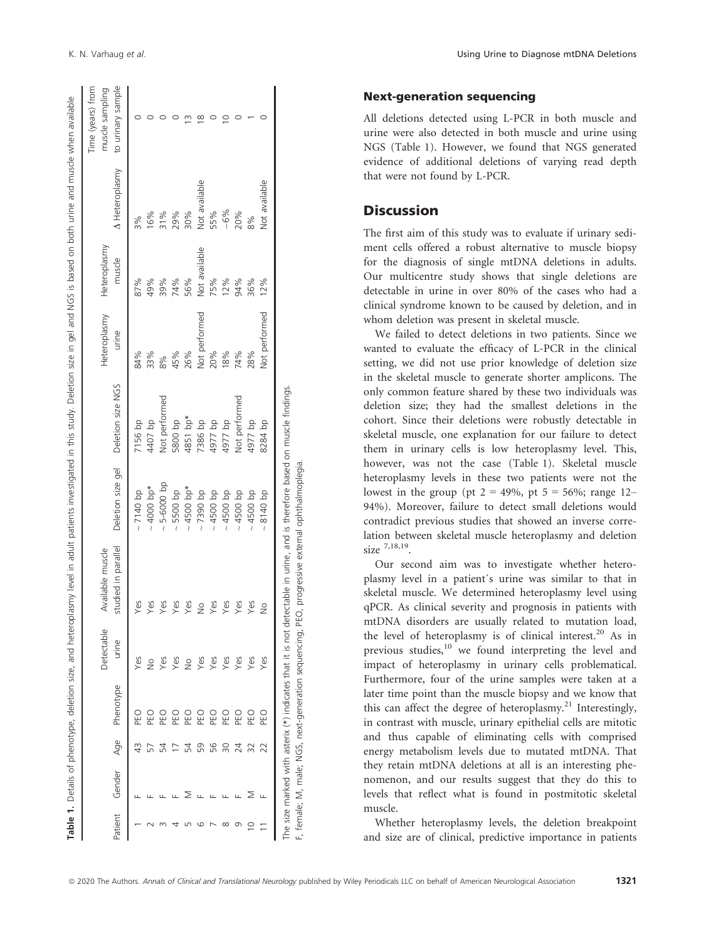|         |        |     |            | Detectable    | Available muscle    |                   |                   | Heteroplasmy  | Heteroplasmy  |                | Time (years) from<br>muscle sampling |
|---------|--------|-----|------------|---------------|---------------------|-------------------|-------------------|---------------|---------------|----------------|--------------------------------------|
| Patient | Gender | Age | Phenotype  | urine         | studied in parallel | Deletion size gel | Deletion size NGS | urine         | muscle        | A Heteroplasmy | to urinary sample                    |
|         |        |     | DEO<br>PEO | Yes           | Yes                 | $~140$ bp         | 7156 bp           | 84%           | 87%           | 3%             |                                      |
|         |        |     | Οłε        | $\frac{1}{2}$ | Yes                 | $~1000~\rm{bp}$ * | 4407 bp           | 33%           | 49%           | 16%            |                                      |
|         |        |     | ΟBς        | Yes           | Yes                 | $\sim$ 5-6000 bp  | Not performed     | 8%            | 39%           | 31%            |                                      |
|         |        |     | DED<br>N   | Yes           | Yes                 | $\sim$ 5500 bp    | 5800 bp           | 45%           | 74%           | 29%            |                                      |
|         |        | 24  | D3d        | $\frac{1}{2}$ | Yes                 | $~1500~bp*$       | 4851 bp*          | 26%           | 56%           | 30%            |                                      |
|         |        | 59  | D3d        | Yes           | $\frac{1}{2}$       | $\sim$ 7390 bp    | 7386 bp           | Not performed | Not available | Not available  |                                      |
|         |        | 56  | 인<br>이     | Yes           | Yes                 | $\sim 4500$ bp    | 4977 bp           | 20%           | 75%           | 55%            |                                      |
|         |        |     | D<br>EO    | Yes           | Yes                 | $\sim 4500$ bp    | 4977 bp           | 8%            | 12%           | $-6%$          |                                      |
|         |        | 24  | <b>PEO</b> | Yes           | Yes                 | $\sim 4500$ bp    | Not performed     | 14%           | 94%           | 20%            |                                      |
|         |        |     | DEO<br>PEO | Yes           | Yes                 | $\sim 4500$ bp    | 4977 bp           | 28%           | 36%           | 8%             |                                      |
|         |        |     | DEO<br>PEO | Yes           | $\frac{1}{2}$       | 8140 bp           | 8284 bp           | Not performed | 12%           | Not available  |                                      |

#### Next-generation sequencing

All deletions detected using L-PCR in both muscle and urine were also detected in both muscle and urine using NGS (Table 1). However, we found that NGS generated evidence of additional deletions of varying read depth that were not found by L-PCR.

## **Discussion**

The first aim of this study was to evaluate if urinary sediment cells offered a robust alternative to muscle biopsy for the diagnosis of single mtDNA deletions in adults. Our multicentre study shows that single deletions are detectable in urine in over 80% of the cases who had a clinical syndrome known to be caused by deletion, and in whom deletion was present in skeletal muscle.

We failed to detect deletions in two patients. Since we wanted to evaluate the efficacy of L-PCR in the clinical setting, we did not use prior knowledge of deletion size in the skeletal muscle to generate shorter amplicons. The only common feature shared by these two individuals was deletion size; they had the smallest deletions in the cohort. Since their deletions were robustly detectable in skeletal muscle, one explanation for our failure to detect them in urinary cells is low heteroplasmy level. This, however, was not the case (Table 1). Skeletal muscle heteroplasmy levels in these two patients were not the lowest in the group (pt  $2 = 49\%$ , pt  $5 = 56\%$ ; range 12– 94%). Moreover, failure to detect small deletions would contradict previous studies that showed an inverse correlation between skeletal muscle heteroplasmy and deletion size  $^{7,18,19}$ .

Our second aim was to investigate whether heteroplasmy level in a patient´s urine was similar to that in skeletal muscle. We determined heteroplasmy level using qPCR. As clinical severity and prognosis in patients with mtDNA disorders are usually related to mutation load, the level of heteroplasmy is of clinical interest.<sup>20</sup> As in previous studies,<sup>10</sup> we found interpreting the level and impact of heteroplasmy in urinary cells problematical. Furthermore, four of the urine samples were taken at a later time point than the muscle biopsy and we know that this can affect the degree of heteroplasmy.<sup>21</sup> Interestingly, in contrast with muscle, urinary epithelial cells are mitotic and thus capable of eliminating cells with comprised energy metabolism levels due to mutated mtDNA. That they retain mtDNA deletions at all is an interesting phenomenon, and our results suggest that they do this to levels that reflect what is found in postmitotic skeletal muscle.

Whether heteroplasmy levels, the deletion breakpoint and size are of clinical, predictive importance in patients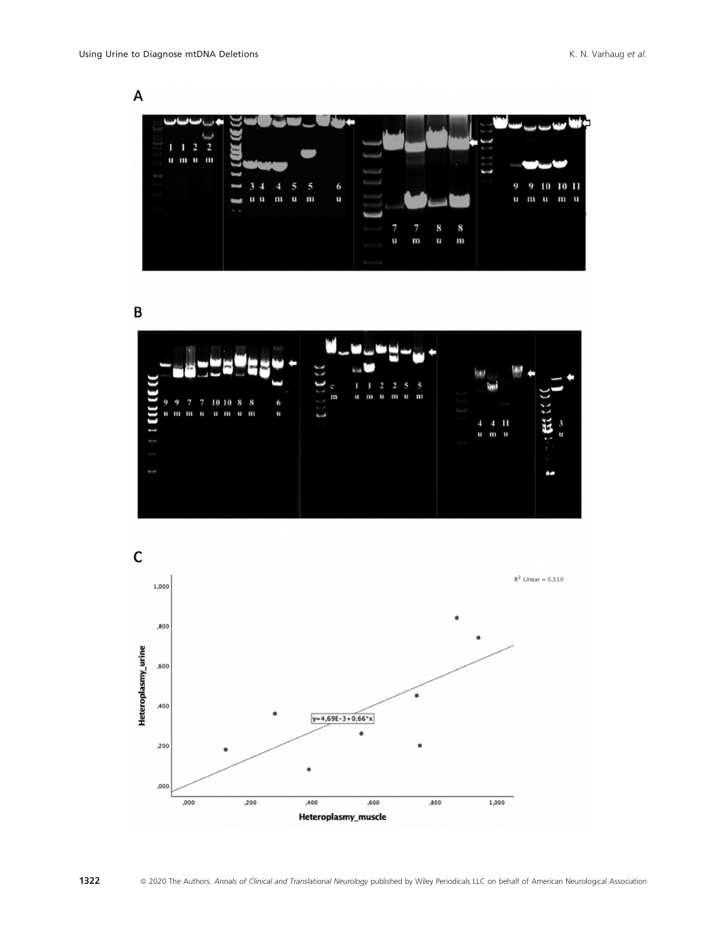

B



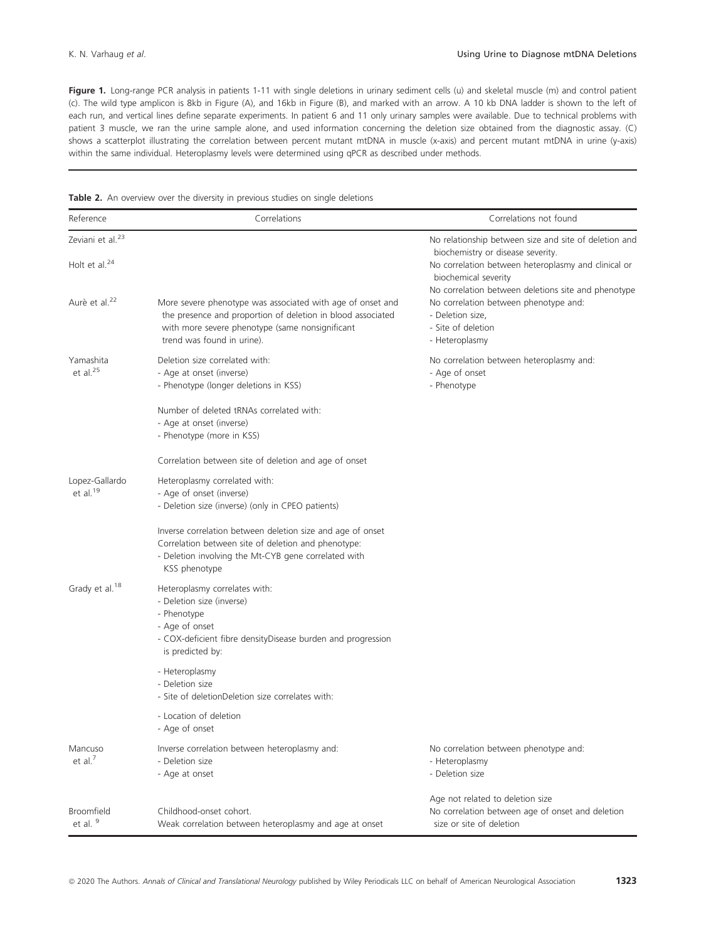Figure 1. Long-range PCR analysis in patients 1-11 with single deletions in urinary sediment cells (u) and skeletal muscle (m) and control patient (c). The wild type amplicon is 8kb in Figure (A), and 16kb in Figure (B), and marked with an arrow. A 10 kb DNA ladder is shown to the left of each run, and vertical lines define separate experiments. In patient 6 and 11 only urinary samples were available. Due to technical problems with patient 3 muscle, we ran the urine sample alone, and used information concerning the deletion size obtained from the diagnostic assay. (C) shows a scatterplot illustrating the correlation between percent mutant mtDNA in muscle (x-axis) and percent mutant mtDNA in urine (y-axis) within the same individual. Heteroplasmy levels were determined using qPCR as described under methods.

|  |  | Table 2. An overview over the diversity in previous studies on single deletions |  |  |  |  |  |  |  |  |  |
|--|--|---------------------------------------------------------------------------------|--|--|--|--|--|--|--|--|--|
|--|--|---------------------------------------------------------------------------------|--|--|--|--|--|--|--|--|--|

| Reference                                           | Correlations                                                                                                                                                                                               | Correlations not found                                                                                                                                                                                                           |
|-----------------------------------------------------|------------------------------------------------------------------------------------------------------------------------------------------------------------------------------------------------------------|----------------------------------------------------------------------------------------------------------------------------------------------------------------------------------------------------------------------------------|
| Zeviani et al. <sup>23</sup><br>Holt et al. $^{24}$ |                                                                                                                                                                                                            | No relationship between size and site of deletion and<br>biochemistry or disease severity.<br>No correlation between heteroplasmy and clinical or<br>biochemical severity<br>No correlation between deletions site and phenotype |
| Aurè et al. <sup>22</sup>                           | More severe phenotype was associated with age of onset and<br>the presence and proportion of deletion in blood associated<br>with more severe phenotype (same nonsignificant<br>trend was found in urine). | No correlation between phenotype and:<br>- Deletion size,<br>- Site of deletion<br>- Heteroplasmy                                                                                                                                |
| Yamashita<br>et al. <sup>25</sup>                   | Deletion size correlated with:<br>- Age at onset (inverse)<br>- Phenotype (longer deletions in KSS)                                                                                                        | No correlation between heteroplasmy and:<br>- Age of onset<br>- Phenotype                                                                                                                                                        |
|                                                     | Number of deleted tRNAs correlated with:<br>- Age at onset (inverse)<br>- Phenotype (more in KSS)                                                                                                          |                                                                                                                                                                                                                                  |
|                                                     | Correlation between site of deletion and age of onset                                                                                                                                                      |                                                                                                                                                                                                                                  |
| Lopez-Gallardo<br>et al. <sup>19</sup>              | Heteroplasmy correlated with:<br>- Age of onset (inverse)<br>- Deletion size (inverse) (only in CPEO patients)                                                                                             |                                                                                                                                                                                                                                  |
|                                                     | Inverse correlation between deletion size and age of onset<br>Correlation between site of deletion and phenotype:<br>- Deletion involving the Mt-CYB gene correlated with<br>KSS phenotype                 |                                                                                                                                                                                                                                  |
| Grady et al. <sup>18</sup>                          | Heteroplasmy correlates with:<br>- Deletion size (inverse)<br>- Phenotype<br>- Age of onset<br>- COX-deficient fibre densityDisease burden and progression<br>is predicted by:                             |                                                                                                                                                                                                                                  |
|                                                     | - Heteroplasmy<br>- Deletion size<br>- Site of deletionDeletion size correlates with:                                                                                                                      |                                                                                                                                                                                                                                  |
|                                                     | - Location of deletion<br>- Age of onset                                                                                                                                                                   |                                                                                                                                                                                                                                  |
| Mancuso<br>et al. $7$                               | Inverse correlation between heteroplasmy and:<br>- Deletion size<br>- Age at onset                                                                                                                         | No correlation between phenotype and:<br>- Heteroplasmy<br>- Deletion size                                                                                                                                                       |
| <b>Broomfield</b><br>et al. 9                       | Childhood-onset cohort.<br>Weak correlation between heteroplasmy and age at onset                                                                                                                          | Age not related to deletion size<br>No correlation between age of onset and deletion<br>size or site of deletion                                                                                                                 |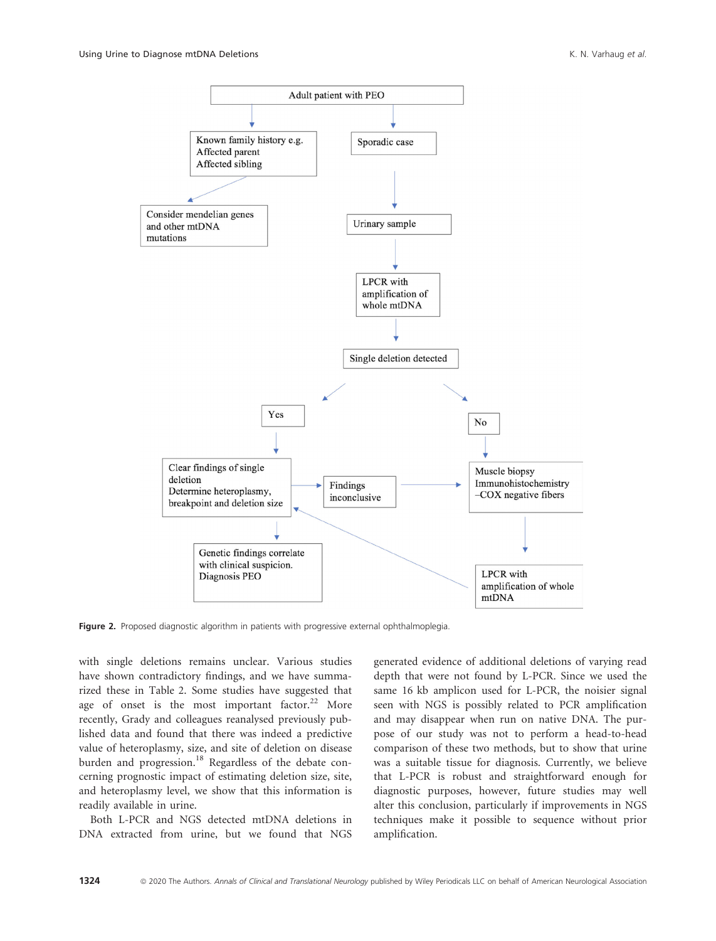

Figure 2. Proposed diagnostic algorithm in patients with progressive external ophthalmoplegia.

with single deletions remains unclear. Various studies have shown contradictory findings, and we have summarized these in Table 2. Some studies have suggested that age of onset is the most important factor.<sup>22</sup> More recently, Grady and colleagues reanalysed previously published data and found that there was indeed a predictive value of heteroplasmy, size, and site of deletion on disease burden and progression.<sup>18</sup> Regardless of the debate concerning prognostic impact of estimating deletion size, site, and heteroplasmy level, we show that this information is readily available in urine.

Both L-PCR and NGS detected mtDNA deletions in DNA extracted from urine, but we found that NGS

generated evidence of additional deletions of varying read depth that were not found by L-PCR. Since we used the same 16 kb amplicon used for L-PCR, the noisier signal seen with NGS is possibly related to PCR amplification and may disappear when run on native DNA. The purpose of our study was not to perform a head-to-head comparison of these two methods, but to show that urine was a suitable tissue for diagnosis. Currently, we believe that L-PCR is robust and straightforward enough for diagnostic purposes, however, future studies may well alter this conclusion, particularly if improvements in NGS techniques make it possible to sequence without prior amplification.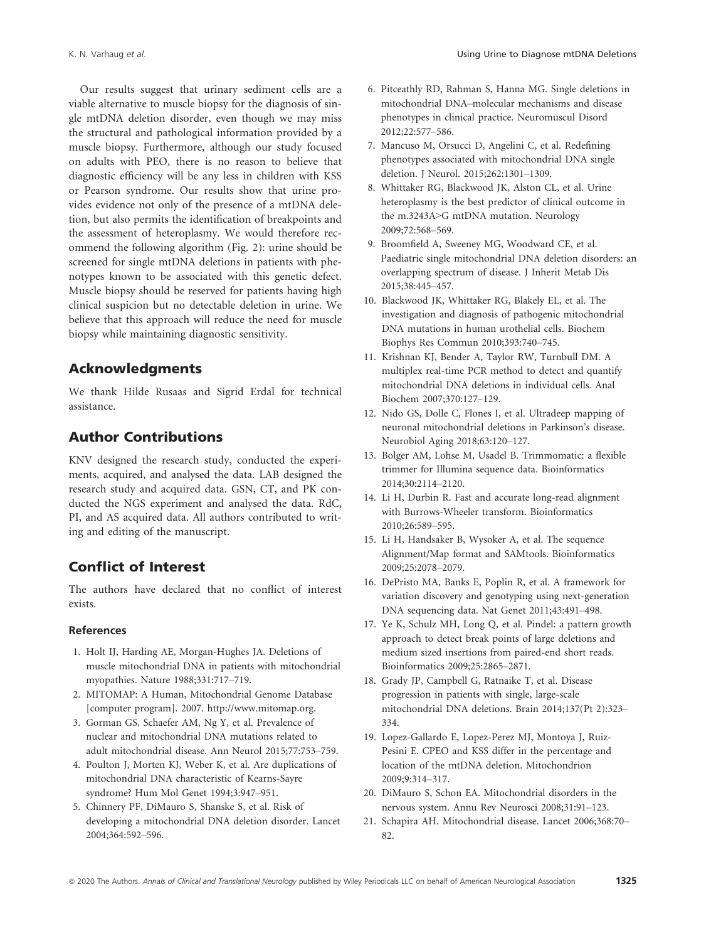Our results suggest that urinary sediment cells are a viable alternative to muscle biopsy for the diagnosis of single mtDNA deletion disorder, even though we may miss the structural and pathological information provided by a muscle biopsy. Furthermore, although our study focused on adults with PEO, there is no reason to believe that diagnostic efficiency will be any less in children with KSS or Pearson syndrome. Our results show that urine provides evidence not only of the presence of a mtDNA deletion, but also permits the identification of breakpoints and the assessment of heteroplasmy. We would therefore recommend the following algorithm (Fig. 2): urine should be screened for single mtDNA deletions in patients with phenotypes known to be associated with this genetic defect. Muscle biopsy should be reserved for patients having high clinical suspicion but no detectable deletion in urine. We believe that this approach will reduce the need for muscle biopsy while maintaining diagnostic sensitivity.

## Acknowledgments

We thank Hilde Rusaas and Sigrid Erdal for technical assistance.

## Author Contributions

KNV designed the research study, conducted the experiments, acquired, and analysed the data. LAB designed the research study and acquired data. GSN, CT, and PK conducted the NGS experiment and analysed the data. RdC, PI, and AS acquired data. All authors contributed to writing and editing of the manuscript.

## Conflict of Interest

The authors have declared that no conflict of interest exists.

#### References

- 1. Holt IJ, Harding AE, Morgan-Hughes JA. Deletions of muscle mitochondrial DNA in patients with mitochondrial myopathies. Nature 1988;331:717–719.
- 2. MITOMAP: A Human, Mitochondrial Genome Database [computer program]. 2007. [http://www.mitomap.org.](http://www.mitomap.org)
- 3. Gorman GS, Schaefer AM, Ng Y, et al. Prevalence of nuclear and mitochondrial DNA mutations related to adult mitochondrial disease. Ann Neurol 2015;77:753–759.
- 4. Poulton J, Morten KJ, Weber K, et al. Are duplications of mitochondrial DNA characteristic of Kearns-Sayre syndrome? Hum Mol Genet 1994;3:947–951.
- 5. Chinnery PF, DiMauro S, Shanske S, et al. Risk of developing a mitochondrial DNA deletion disorder. Lancet 2004;364:592–596.
- 6. Pitceathly RD, Rahman S, Hanna MG. Single deletions in mitochondrial DNA–molecular mechanisms and disease phenotypes in clinical practice. Neuromuscul Disord 2012;22:577–586.
- 7. Mancuso M, Orsucci D, Angelini C, et al. Redefining phenotypes associated with mitochondrial DNA single deletion. J Neurol. 2015;262:1301–1309.
- 8. Whittaker RG, Blackwood JK, Alston CL, et al. Urine heteroplasmy is the best predictor of clinical outcome in the m.3243A>G mtDNA mutation. Neurology 2009;72:568–569.
- 9. Broomfield A, Sweeney MG, Woodward CE, et al. Paediatric single mitochondrial DNA deletion disorders: an overlapping spectrum of disease. J Inherit Metab Dis 2015;38:445–457.
- 10. Blackwood JK, Whittaker RG, Blakely EL, et al. The investigation and diagnosis of pathogenic mitochondrial DNA mutations in human urothelial cells. Biochem Biophys Res Commun 2010;393:740–745.
- 11. Krishnan KJ, Bender A, Taylor RW, Turnbull DM. A multiplex real-time PCR method to detect and quantify mitochondrial DNA deletions in individual cells. Anal Biochem 2007;370:127–129.
- 12. Nido GS, Dolle C, Flones I, et al. Ultradeep mapping of neuronal mitochondrial deletions in Parkinson's disease. Neurobiol Aging 2018;63:120–127.
- 13. Bolger AM, Lohse M, Usadel B. Trimmomatic: a flexible trimmer for Illumina sequence data. Bioinformatics 2014;30:2114–2120.
- 14. Li H, Durbin R. Fast and accurate long-read alignment with Burrows-Wheeler transform. Bioinformatics 2010;26:589–595.
- 15. Li H, Handsaker B, Wysoker A, et al. The sequence Alignment/Map format and SAMtools. Bioinformatics 2009;25:2078–2079.
- 16. DePristo MA, Banks E, Poplin R, et al. A framework for variation discovery and genotyping using next-generation DNA sequencing data. Nat Genet 2011;43:491–498.
- 17. Ye K, Schulz MH, Long Q, et al. Pindel: a pattern growth approach to detect break points of large deletions and medium sized insertions from paired-end short reads. Bioinformatics 2009;25:2865–2871.
- 18. Grady JP, Campbell G, Ratnaike T, et al. Disease progression in patients with single, large-scale mitochondrial DNA deletions. Brain 2014;137(Pt 2):323– 334.
- 19. Lopez-Gallardo E, Lopez-Perez MJ, Montoya J, Ruiz-Pesini E. CPEO and KSS differ in the percentage and location of the mtDNA deletion. Mitochondrion 2009;9:314–317.
- 20. DiMauro S, Schon EA. Mitochondrial disorders in the nervous system. Annu Rev Neurosci 2008;31:91–123.
- 21. Schapira AH. Mitochondrial disease. Lancet 2006;368:70– 82.